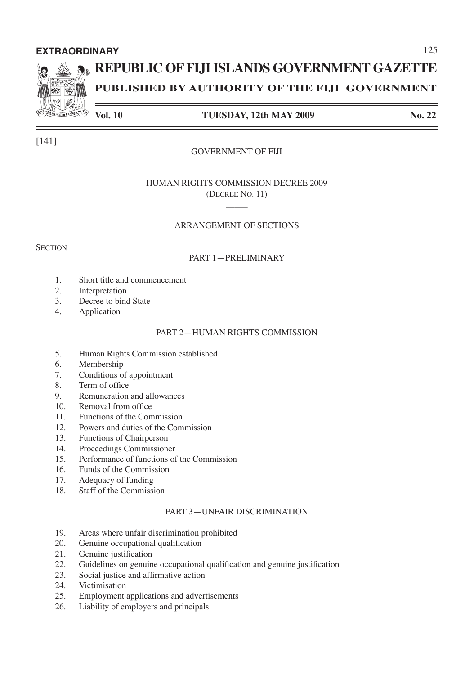# **EXTRAORDINARY**

# **REPUBLIC OF FIJI ISLANDS GOVERNMENT GAZETTE**

**PUBLISHED BY AUTHORITY OF THE FIJI GOVERNMENT**

# **Vol. 10 TUESDAY, 12th MAY 2009 No. 22**

# GOVERNMENT OF FIJI

# HUMAN RIGHTS COMMISSION DECREE 2009 (DECREE NO. 11)

\_\_\_\_\_

\_\_\_\_\_

# ARRANGEMENT OF SECTIONS

## **SECTION**

# PART 1—PRELIMINARY

- 1. Short title and commencement
- 2. Interpretation
- 3. Decree to bind State
- 4. Application

# PART 2—HUMAN RIGHTS COMMISSION

- 5. Human Rights Commission established
- 6. Membership
- 7. Conditions of appointment
- 8. Term of office
- 9. Remuneration and allowances
- 10. Removal from office
- 11. Functions of the Commission
- 12. Powers and duties of the Commission
- 13. Functions of Chairperson<br>14 Proceedings Commission
- Proceedings Commissioner
- 15. Performance of functions of the Commission
- 16. Funds of the Commission
- 17. Adequacy of funding
- 18. Staff of the Commission

# PART 3—UNFAIR DISCRIMINATION

- 19. Areas where unfair discrimination prohibited
- 20. Genuine occupational qualification
- 21. Genuine justification
- 22. Guidelines on genuine occupational qualification and genuine justification
- 23. Social justice and affirmative action
- 24. Victimisation
- 25. Employment applications and advertisements<br>26. Liability of employers and principals
- Liability of employers and principals



[141]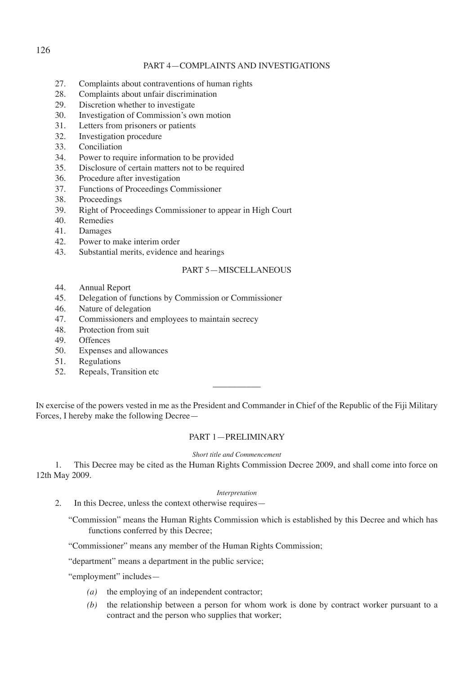# PART 4—COMPLAINTS AND INVESTIGATIONS

- 27. Complaints about contraventions of human rights
- 28. Complaints about unfair discrimination
- 29. Discretion whether to investigate
- 30. Investigation of Commission's own motion
- 31. Letters from prisoners or patients
- 32. Investigation procedure
- 33. Conciliation
- 34. Power to require information to be provided
- 35. Disclosure of certain matters not to be required
- 36. Procedure after investigation
- 37. Functions of Proceedings Commissioner
- 38. Proceedings
- 39. Right of Proceedings Commissioner to appear in High Court
- 40. Remedies
- 41. Damages
- 42. Power to make interim order
- 43. Substantial merits, evidence and hearings

# PART 5—MISCELLANEOUS

- 44. Annual Report
- 45. Delegation of functions by Commission or Commissioner
- 46. Nature of delegation
- 47. Commissioners and employees to maintain secrecy
- 48. Protection from suit
- 49. Offences
- 50. Expenses and allowances
- 51. Regulations
- 52. Repeals, Transition etc

IN exercise of the powers vested in me as the President and Commander in Chief of the Republic of the Fiji Military Forces, I hereby make the following Decree—

 $\overline{\phantom{a}}$  , where  $\overline{\phantom{a}}$ 

# PART 1—PRELIMINARY

# *Short title and Commencement*

1. This Decree may be cited as the Human Rights Commission Decree 2009, and shall come into force on 12th May 2009.

#### *Interpretation*

2. In this Decree, unless the context otherwise requires—

"Commission" means the Human Rights Commission which is established by this Decree and which has functions conferred by this Decree;

"Commissioner" means any member of the Human Rights Commission;

"department" means a department in the public service;

"employment" includes—

- *(a)* the employing of an independent contractor;
- *(b)* the relationship between a person for whom work is done by contract worker pursuant to a contract and the person who supplies that worker;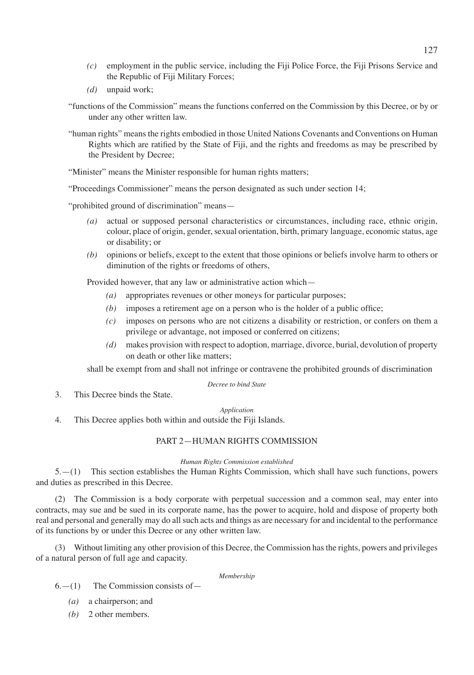- *(c)* employment in the public service, including the Fiji Police Force, the Fiji Prisons Service and the Republic of Fiji Military Forces;
- *(d)* unpaid work;
- "functions of the Commission" means the functions conferred on the Commission by this Decree, or by or under any other written law.
- "human rights" means the rights embodied in those United Nations Covenants and Conventions on Human Rights which are ratified by the State of Fiji, and the rights and freedoms as may be prescribed by the President by Decree;
- "Minister" means the Minister responsible for human rights matters;

"Proceedings Commissioner" means the person designated as such under section 14;

"prohibited ground of discrimination" means—

- *(a)* actual or supposed personal characteristics or circumstances, including race, ethnic origin, colour, place of origin, gender, sexual orientation, birth, primary language, economic status, age or disability; or
- *(b)* opinions or beliefs, except to the extent that those opinions or beliefs involve harm to others or diminution of the rights or freedoms of others,

Provided however, that any law or administrative action which—

- *(a)* appropriates revenues or other moneys for particular purposes;
- *(b)* imposes a retirement age on a person who is the holder of a public office;
- *(c)* imposes on persons who are not citizens a disability or restriction, or confers on them a privilege or advantage, not imposed or conferred on citizens;
- *(d)* makes provision with respect to adoption, marriage, divorce, burial, devolution of property on death or other like matters;

shall be exempt from and shall not infringe or contravene the prohibited grounds of discrimination

#### *Decree to bind State*

3. This Decree binds the State.

# *Application*

4. This Decree applies both within and outside the Fiji Islands.

# PART 2—HUMAN RIGHTS COMMISSION

#### *Human Rights Commission established*

5.—(1) This section establishes the Human Rights Commission, which shall have such functions, powers and duties as prescribed in this Decree.

(2) The Commission is a body corporate with perpetual succession and a common seal, may enter into contracts, may sue and be sued in its corporate name, has the power to acquire, hold and dispose of property both real and personal and generally may do all such acts and things as are necessary for and incidental to the performance of its functions by or under this Decree or any other written law.

(3) Without limiting any other provision of this Decree, the Commission has the rights, powers and privileges of a natural person of full age and capacity.

# *Membership*

- $6. (1)$  The Commission consists of  $-$ 
	- *(a)* a chairperson; and
	- *(b)* 2 other members.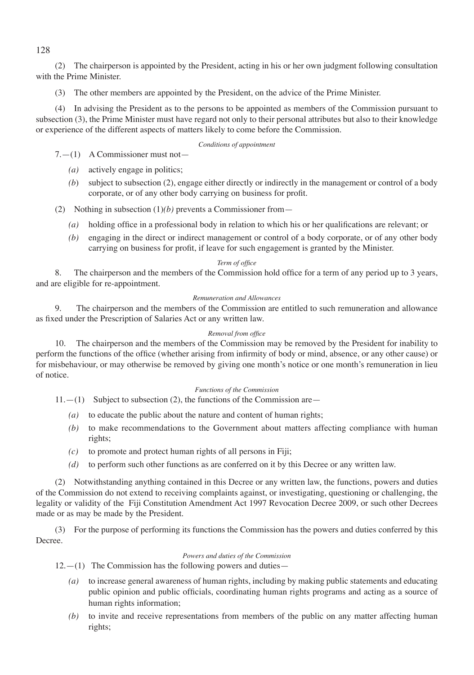(2) The chairperson is appointed by the President, acting in his or her own judgment following consultation with the Prime Minister.

(3) The other members are appointed by the President, on the advice of the Prime Minister.

(4) In advising the President as to the persons to be appointed as members of the Commission pursuant to subsection (3), the Prime Minister must have regard not only to their personal attributes but also to their knowledge or experience of the different aspects of matters likely to come before the Commission.

## *Conditions of appointment*

7.—(1) A Commissioner must not—

- *(a)* actively engage in politics;
- *(b*) subject to subsection (2), engage either directly or indirectly in the management or control of a body corporate, or of any other body carrying on business for profit.
- (2) Nothing in subsection (1)*(b)* prevents a Commissioner from—
	- *(a)* holding office in a professional body in relation to which his or her qualifications are relevant; or
	- *(b)* engaging in the direct or indirect management or control of a body corporate, or of any other body carrying on business for profit, if leave for such engagement is granted by the Minister.

## *Term of office*

8. The chairperson and the members of the Commission hold office for a term of any period up to 3 years, and are eligible for re-appointment.

## *Remuneration and Allowances*

9. The chairperson and the members of the Commission are entitled to such remuneration and allowance as fixed under the Prescription of Salaries Act or any written law.

# *Removal from office*

10. The chairperson and the members of the Commission may be removed by the President for inability to perform the functions of the office (whether arising from infirmity of body or mind, absence, or any other cause) or for misbehaviour, or may otherwise be removed by giving one month's notice or one month's remuneration in lieu of notice.

#### *Functions of the Commission*

 $11.-(1)$  Subject to subsection (2), the functions of the Commission are

- *(a)* to educate the public about the nature and content of human rights;
- *(b)* to make recommendations to the Government about matters affecting compliance with human rights;
- *(c)* to promote and protect human rights of all persons in Fiji;
- *(d)* to perform such other functions as are conferred on it by this Decree or any written law.

(2) Notwithstanding anything contained in this Decree or any written law, the functions, powers and duties of the Commission do not extend to receiving complaints against, or investigating, questioning or challenging, the legality or validity of the Fiji Constitution Amendment Act 1997 Revocation Decree 2009, or such other Decrees made or as may be made by the President.

(3) For the purpose of performing its functions the Commission has the powers and duties conferred by this Decree.

#### *Powers and duties of the Commission*

 $12. - (1)$  The Commission has the following powers and duties—

- *(a)* to increase general awareness of human rights, including by making public statements and educating public opinion and public officials, coordinating human rights programs and acting as a source of human rights information;
- *(b)* to invite and receive representations from members of the public on any matter affecting human rights;

128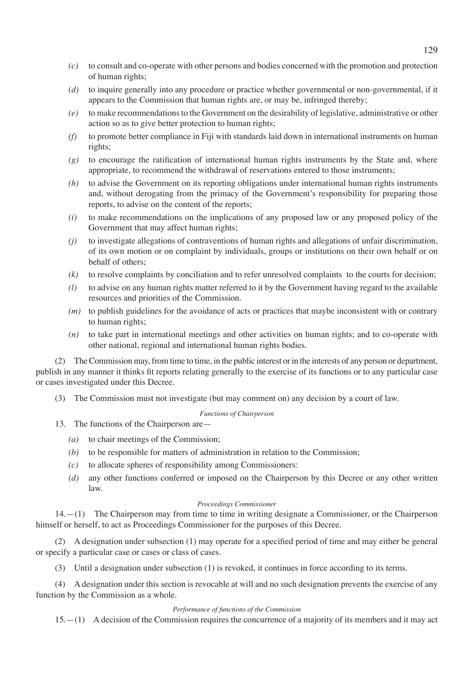- *(c)* to consult and co-operate with other persons and bodies concerned with the promotion and protection of human rights;
- *(d)* to inquire generally into any procedure or practice whether governmental or non-governmental, if it appears to the Commission that human rights are, or may be, infringed thereby;
- *(e)* to make recommendations to the Government on the desirability of legislative, administrative or other action so as to give better protection to human rights;
- *(f)* to promote better compliance in Fiji with standards laid down in international instruments on human rights;
- *(g)* to encourage the ratification of international human rights instruments by the State and, where appropriate, to recommend the withdrawal of reservations entered to those instruments;
- *(h)* to advise the Government on its reporting obligations under international human rights instruments and, without derogating from the primacy of the Government's responsibility for preparing those reports, to advise on the content of the reports;
- *(i)* to make recommendations on the implications of any proposed law or any proposed policy of the Government that may affect human rights;
- *(j)* to investigate allegations of contraventions of human rights and allegations of unfair discrimination, of its own motion or on complaint by individuals, groups or institutions on their own behalf or on behalf of others;
- *(k)* to resolve complaints by conciliation and to refer unresolved complaints to the courts for decision;
- *(l)* to advise on any human rights matter referred to it by the Government having regard to the available resources and priorities of the Commission.
- *(m)* to publish guidelines for the avoidance of acts or practices that maybe inconsistent with or contrary to human rights;
- *(n)* to take part in international meetings and other activities on human rights; and to co-operate with other national, regional and international human rights bodies.

(2) The Commission may, from time to time, in the public interest or in the interests of any person or department, publish in any manner it thinks fit reports relating generally to the exercise of its functions or to any particular case or cases investigated under this Decree.

(3) The Commission must not investigate (but may comment on) any decision by a court of law.

# *Functions of Chairperson*

- 13. The functions of the Chairperson are—
	- *(a)* to chair meetings of the Commission;
	- *(b)* to be responsible for matters of administration in relation to the Commission;
	- *(c)* to allocate spheres of responsibility among Commissioners:
	- *(d)* any other functions conferred or imposed on the Chairperson by this Decree or any other written law.

# *Proceedings Commissioner*

14.—(1) The Chairperson may from time to time in writing designate a Commissioner, or the Chairperson himself or herself, to act as Proceedings Commissioner for the purposes of this Decree.

(2) A designation under subsection (1) may operate for a specified period of time and may either be general or specify a particular case or cases or class of cases.

(3) Until a designation under subsection (1) is revoked, it continues in force according to its terms.

(4) A designation under this section is revocable at will and no such designation prevents the exercise of any function by the Commission as a whole.

#### *Performance of functions of the Commission*

15.—(1) A decision of the Commission requires the concurrence of a majority of its members and it may act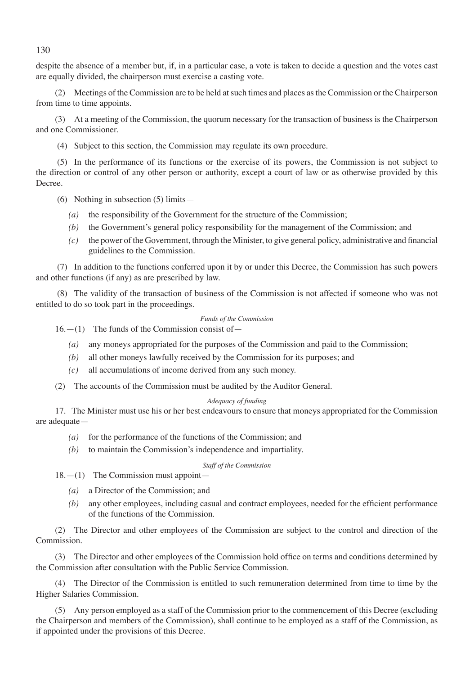despite the absence of a member but, if, in a particular case, a vote is taken to decide a question and the votes cast are equally divided, the chairperson must exercise a casting vote.

(2) Meetings of the Commission are to be held at such times and places as the Commission or the Chairperson from time to time appoints.

(3) At a meeting of the Commission, the quorum necessary for the transaction of business is the Chairperson and one Commissioner.

(4) Subject to this section, the Commission may regulate its own procedure.

 (5) In the performance of its functions or the exercise of its powers, the Commission is not subject to the direction or control of any other person or authority, except a court of law or as otherwise provided by this Decree.

- (6) Nothing in subsection (5) limits—
	- *(a)* the responsibility of the Government for the structure of the Commission;
	- *(b)* the Government's general policy responsibility for the management of the Commission; and
	- *(c)* the power of the Government, through the Minister, to give general policy, administrative and financial guidelines to the Commission.

 (7) In addition to the functions conferred upon it by or under this Decree, the Commission has such powers and other functions (if any) as are prescribed by law.

 (8) The validity of the transaction of business of the Commission is not affected if someone who was not entitled to do so took part in the proceedings.

#### *Funds of the Commission*

 $16. - (1)$  The funds of the Commission consist of  $-$ 

- *(a)* any moneys appropriated for the purposes of the Commission and paid to the Commission;
- *(b)* all other moneys lawfully received by the Commission for its purposes; and
- *(c)* all accumulations of income derived from any such money.
- (2) The accounts of the Commission must be audited by the Auditor General.

# *Adequacy of funding*

17. The Minister must use his or her best endeavours to ensure that moneys appropriated for the Commission are adequate—

- *(a)* for the performance of the functions of the Commission; and
- *(b)* to maintain the Commission's independence and impartiality.

# *Staff of the Commission*

 $18. - (1)$  The Commission must appoint-

- *(a)* a Director of the Commission; and
- *(b)* any other employees, including casual and contract employees, needed for the efficient performance of the functions of the Commission.

(2) The Director and other employees of the Commission are subject to the control and direction of the Commission.

(3) The Director and other employees of the Commission hold office on terms and conditions determined by the Commission after consultation with the Public Service Commission.

(4) The Director of the Commission is entitled to such remuneration determined from time to time by the Higher Salaries Commission.

(5) Any person employed as a staff of the Commission prior to the commencement of this Decree (excluding the Chairperson and members of the Commission), shall continue to be employed as a staff of the Commission, as if appointed under the provisions of this Decree.

130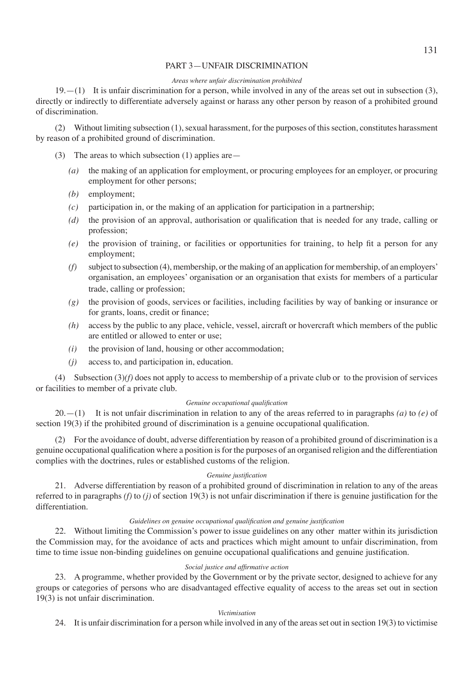# PART 3—UNFAIR DISCRIMINATION

# *Areas where unfair discrimination prohibited*

 $19. - (1)$  It is unfair discrimination for a person, while involved in any of the areas set out in subsection (3), directly or indirectly to differentiate adversely against or harass any other person by reason of a prohibited ground of discrimination.

(2) Without limiting subsection (1), sexual harassment, for the purposes of this section, constitutes harassment by reason of a prohibited ground of discrimination.

- (3) The areas to which subsection  $(1)$  applies are
	- *(a)* the making of an application for employment, or procuring employees for an employer, or procuring employment for other persons;
	- *(b)* employment;
	- *(c)* participation in, or the making of an application for participation in a partnership;
	- *(d)* the provision of an approval, authorisation or qualification that is needed for any trade, calling or profession;
	- *(e)* the provision of training, or facilities or opportunities for training, to help fit a person for any employment;
	- *(f)* subject to subsection (4), membership, or the making of an application for membership, of an employers' organisation, an employees' organisation or an organisation that exists for members of a particular trade, calling or profession;
	- *(g)* the provision of goods, services or facilities, including facilities by way of banking or insurance or for grants, loans, credit or finance;
	- *(h)* access by the public to any place, vehicle, vessel, aircraft or hovercraft which members of the public are entitled or allowed to enter or use;
	- *(i)* the provision of land, housing or other accommodation;
	- *(j)* access to, and participation in, education.

(4) Subsection (3)*(f)* does not apply to access to membership of a private club or to the provision of services or facilities to member of a private club.

#### *Genuine occupational qualification*

20.—(1) It is not unfair discrimination in relation to any of the areas referred to in paragraphs *(a)* to *(e)* of section 19(3) if the prohibited ground of discrimination is a genuine occupational qualification.

(2) For the avoidance of doubt, adverse differentiation by reason of a prohibited ground of discrimination is a genuine occupational qualification where a position is for the purposes of an organised religion and the differentiation complies with the doctrines, rules or established customs of the religion.

# *Genuine justification*

21. Adverse differentiation by reason of a prohibited ground of discrimination in relation to any of the areas referred to in paragraphs *(f)* to *(j)* of section 19(3) is not unfair discrimination if there is genuine justification for the differentiation.

# *Guidelines on genuine occupational qualification and genuine justification*

22. Without limiting the Commission's power to issue guidelines on any other matter within its jurisdiction the Commission may, for the avoidance of acts and practices which might amount to unfair discrimination, from time to time issue non-binding guidelines on genuine occupational qualifications and genuine justification.

# *Social justice and affirmative action*

23. A programme, whether provided by the Government or by the private sector, designed to achieve for any groups or categories of persons who are disadvantaged effective equality of access to the areas set out in section 19(3) is not unfair discrimination.

#### *Victimisation*

24. It is unfair discrimination for a person while involved in any of the areas set out in section 19(3) to victimise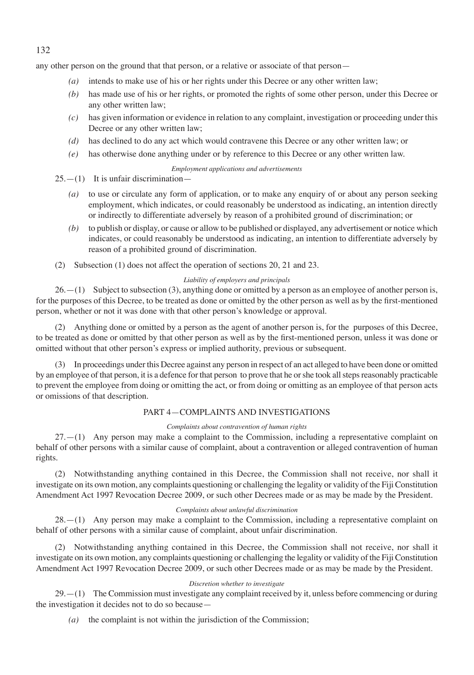any other person on the ground that that person, or a relative or associate of that person—

- *(a)* intends to make use of his or her rights under this Decree or any other written law;
- *(b)* has made use of his or her rights, or promoted the rights of some other person, under this Decree or any other written law;
- *(c)* has given information or evidence in relation to any complaint, investigation or proceeding under this Decree or any other written law;
- *(d)* has declined to do any act which would contravene this Decree or any other written law; or
- *(e)* has otherwise done anything under or by reference to this Decree or any other written law.

#### *Employment applications and advertisements*

 $25 - (1)$  It is unfair discrimination-

- *(a)* to use or circulate any form of application, or to make any enquiry of or about any person seeking employment, which indicates, or could reasonably be understood as indicating, an intention directly or indirectly to differentiate adversely by reason of a prohibited ground of discrimination; or
- *(b)* to publish or display, or cause or allow to be published or displayed, any advertisement or notice which indicates, or could reasonably be understood as indicating, an intention to differentiate adversely by reason of a prohibited ground of discrimination.
- (2) Subsection (1) does not affect the operation of sections 20, 21 and 23.

# *Liability of employers and principals*

 $26. - (1)$  Subject to subsection (3), anything done or omitted by a person as an employee of another person is, for the purposes of this Decree, to be treated as done or omitted by the other person as well as by the first-mentioned person, whether or not it was done with that other person's knowledge or approval.

(2) Anything done or omitted by a person as the agent of another person is, for the purposes of this Decree, to be treated as done or omitted by that other person as well as by the first-mentioned person, unless it was done or omitted without that other person's express or implied authority, previous or subsequent.

(3) In proceedings under this Decree against any person in respect of an act alleged to have been done or omitted by an employee of that person, it is a defence for that person to prove that he or she took all steps reasonably practicable to prevent the employee from doing or omitting the act, or from doing or omitting as an employee of that person acts or omissions of that description.

# PART 4—COMPLAINTS AND INVESTIGATIONS

# *Complaints about contravention of human rights*

 $27.–(1)$  Any person may make a complaint to the Commission, including a representative complaint on behalf of other persons with a similar cause of complaint, about a contravention or alleged contravention of human rights.

(2) Notwithstanding anything contained in this Decree, the Commission shall not receive, nor shall it investigate on its own motion, any complaints questioning or challenging the legality or validity of the Fiji Constitution Amendment Act 1997 Revocation Decree 2009, or such other Decrees made or as may be made by the President.

#### *Complaints about unlawful discrimination*

28.—(1) Any person may make a complaint to the Commission, including a representative complaint on behalf of other persons with a similar cause of complaint, about unfair discrimination.

(2) Notwithstanding anything contained in this Decree, the Commission shall not receive, nor shall it investigate on its own motion, any complaints questioning or challenging the legality or validity of the Fiji Constitution Amendment Act 1997 Revocation Decree 2009, or such other Decrees made or as may be made by the President.

#### *Discretion whether to investigate*

 $29.–(1)$  The Commission must investigate any complaint received by it, unless before commencing or during the investigation it decides not to do so because—

*(a)* the complaint is not within the jurisdiction of the Commission;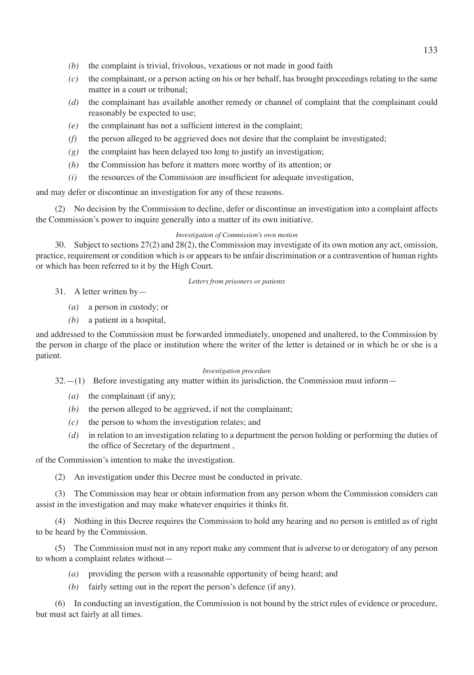- *(b)* the complaint is trivial, frivolous, vexatious or not made in good faith
- *(c)* the complainant, or a person acting on his or her behalf, has brought proceedings relating to the same matter in a court or tribunal;
- *(d)* the complainant has available another remedy or channel of complaint that the complainant could reasonably be expected to use;
- *(e)* the complainant has not a sufficient interest in the complaint;
- *(f)* the person alleged to be aggrieved does not desire that the complaint be investigated;
- *(g)* the complaint has been delayed too long to justify an investigation;
- *(h)* the Commission has before it matters more worthy of its attention; or
- *(i)* the resources of the Commission are insufficient for adequate investigation,

and may defer or discontinue an investigation for any of these reasons.

(2) No decision by the Commission to decline, defer or discontinue an investigation into a complaint affects the Commission's power to inquire generally into a matter of its own initiative.

#### *Investigation of Commission's own motion*

30. Subject to sections 27(2) and 28(2), the Commission may investigate of its own motion any act, omission, practice, requirement or condition which is or appears to be unfair discrimination or a contravention of human rights or which has been referred to it by the High Court.

#### *Letters from prisoners or patients*

- 31. A letter written by—
	- *(a)* a person in custody; or
	- *(b)* a patient in a hospital,

and addressed to the Commission must be forwarded immediately, unopened and unaltered, to the Commission by the person in charge of the place or institution where the writer of the letter is detained or in which he or she is a patient.

#### *Investigation procedure*

 $32- (1)$  Before investigating any matter within its jurisdiction, the Commission must inform—

- *(a)* the complainant (if any);
- *(b)* the person alleged to be aggrieved, if not the complainant;
- *(c)* the person to whom the investigation relates; and
- *(d)* in relation to an investigation relating to a department the person holding or performing the duties of the office of Secretary of the department ,

of the Commission's intention to make the investigation.

(2) An investigation under this Decree must be conducted in private.

(3) The Commission may hear or obtain information from any person whom the Commission considers can assist in the investigation and may make whatever enquiries it thinks fit.

(4) Nothing in this Decree requires the Commission to hold any hearing and no person is entitled as of right to be heard by the Commission.

(5) The Commission must not in any report make any comment that is adverse to or derogatory of any person to whom a complaint relates without—

- *(a)* providing the person with a reasonable opportunity of being heard; and
- *(b)* fairly setting out in the report the person's defence (if any).

(6) In conducting an investigation, the Commission is not bound by the strict rules of evidence or procedure, but must act fairly at all times.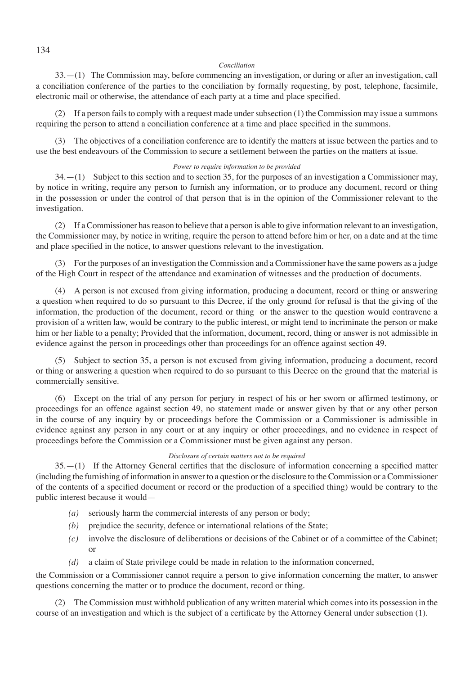#### *Conciliation*

33.—(1) The Commission may, before commencing an investigation, or during or after an investigation, call a conciliation conference of the parties to the conciliation by formally requesting, by post, telephone, facsimile, electronic mail or otherwise, the attendance of each party at a time and place specified.

(2) If a person fails to comply with a request made under subsection (1) the Commission may issue a summons requiring the person to attend a conciliation conference at a time and place specified in the summons.

(3) The objectives of a conciliation conference are to identify the matters at issue between the parties and to use the best endeavours of the Commission to secure a settlement between the parties on the matters at issue.

#### *Power to require information to be provided*

 $34. - (1)$  Subject to this section and to section 35, for the purposes of an investigation a Commissioner may, by notice in writing, require any person to furnish any information, or to produce any document, record or thing in the possession or under the control of that person that is in the opinion of the Commissioner relevant to the investigation.

(2) If a Commissioner has reason to believe that a person is able to give information relevant to an investigation, the Commissioner may, by notice in writing, require the person to attend before him or her, on a date and at the time and place specified in the notice, to answer questions relevant to the investigation.

(3) For the purposes of an investigation the Commission and a Commissioner have the same powers as a judge of the High Court in respect of the attendance and examination of witnesses and the production of documents.

(4) A person is not excused from giving information, producing a document, record or thing or answering a question when required to do so pursuant to this Decree, if the only ground for refusal is that the giving of the information, the production of the document, record or thing or the answer to the question would contravene a provision of a written law, would be contrary to the public interest, or might tend to incriminate the person or make him or her liable to a penalty; Provided that the information, document, record, thing or answer is not admissible in evidence against the person in proceedings other than proceedings for an offence against section 49.

(5) Subject to section 35, a person is not excused from giving information, producing a document, record or thing or answering a question when required to do so pursuant to this Decree on the ground that the material is commercially sensitive.

(6) Except on the trial of any person for perjury in respect of his or her sworn or affirmed testimony, or proceedings for an offence against section 49, no statement made or answer given by that or any other person in the course of any inquiry by or proceedings before the Commission or a Commissioner is admissible in evidence against any person in any court or at any inquiry or other proceedings, and no evidence in respect of proceedings before the Commission or a Commissioner must be given against any person.

#### *Disclosure of certain matters not to be required*

35.—(1) If the Attorney General certifies that the disclosure of information concerning a specified matter (including the furnishing of information in answer to a question or the disclosure to the Commission or a Commissioner of the contents of a specified document or record or the production of a specified thing) would be contrary to the public interest because it would—

- *(a)* seriously harm the commercial interests of any person or body;
- *(b)* prejudice the security, defence or international relations of the State;
- *(c)* involve the disclosure of deliberations or decisions of the Cabinet or of a committee of the Cabinet; or
- *(d)* a claim of State privilege could be made in relation to the information concerned,

the Commission or a Commissioner cannot require a person to give information concerning the matter, to answer questions concerning the matter or to produce the document, record or thing.

(2) The Commission must withhold publication of any written material which comes into its possession in the course of an investigation and which is the subject of a certificate by the Attorney General under subsection (1).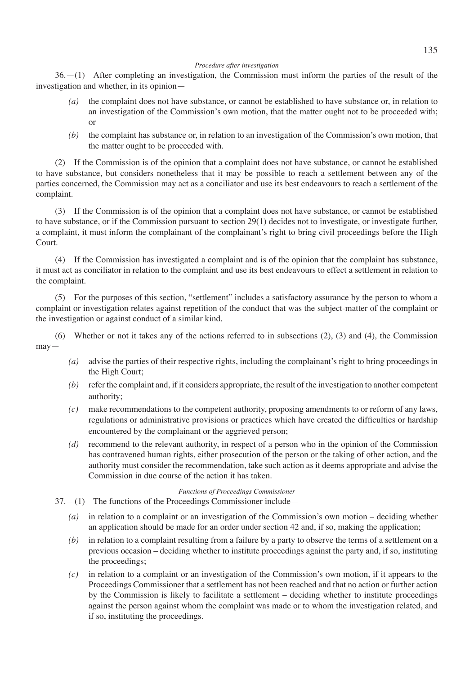#### *Procedure after investigation*

36.—(1) After completing an investigation, the Commission must inform the parties of the result of the investigation and whether, in its opinion—

- *(a)* the complaint does not have substance, or cannot be established to have substance or, in relation to an investigation of the Commission's own motion, that the matter ought not to be proceeded with; or
- *(b)* the complaint has substance or, in relation to an investigation of the Commission's own motion, that the matter ought to be proceeded with.

(2) If the Commission is of the opinion that a complaint does not have substance, or cannot be established to have substance, but considers nonetheless that it may be possible to reach a settlement between any of the parties concerned, the Commission may act as a conciliator and use its best endeavours to reach a settlement of the complaint.

(3) If the Commission is of the opinion that a complaint does not have substance, or cannot be established to have substance, or if the Commission pursuant to section 29(1) decides not to investigate, or investigate further, a complaint, it must inform the complainant of the complainant's right to bring civil proceedings before the High Court.

(4) If the Commission has investigated a complaint and is of the opinion that the complaint has substance, it must act as conciliator in relation to the complaint and use its best endeavours to effect a settlement in relation to the complaint.

(5) For the purposes of this section, "settlement" includes a satisfactory assurance by the person to whom a complaint or investigation relates against repetition of the conduct that was the subject-matter of the complaint or the investigation or against conduct of a similar kind.

(6) Whether or not it takes any of the actions referred to in subsections (2), (3) and (4), the Commission may—

- *(a)* advise the parties of their respective rights, including the complainant's right to bring proceedings in the High Court;
- *(b)* refer the complaint and, if it considers appropriate, the result of the investigation to another competent authority;
- *(c)* make recommendations to the competent authority, proposing amendments to or reform of any laws, regulations or administrative provisions or practices which have created the difficulties or hardship encountered by the complainant or the aggrieved person;
- *(d)* recommend to the relevant authority, in respect of a person who in the opinion of the Commission has contravened human rights, either prosecution of the person or the taking of other action, and the authority must consider the recommendation, take such action as it deems appropriate and advise the Commission in due course of the action it has taken.

#### *Functions of Proceedings Commissioner*

37.—(1) The functions of the Proceedings Commissioner include—

- *(a)* in relation to a complaint or an investigation of the Commission's own motion deciding whether an application should be made for an order under section 42 and, if so, making the application;
- *(b)* in relation to a complaint resulting from a failure by a party to observe the terms of a settlement on a previous occasion – deciding whether to institute proceedings against the party and, if so, instituting the proceedings;
- *(c)* in relation to a complaint or an investigation of the Commission's own motion, if it appears to the Proceedings Commissioner that a settlement has not been reached and that no action or further action by the Commission is likely to facilitate a settlement – deciding whether to institute proceedings against the person against whom the complaint was made or to whom the investigation related, and if so, instituting the proceedings.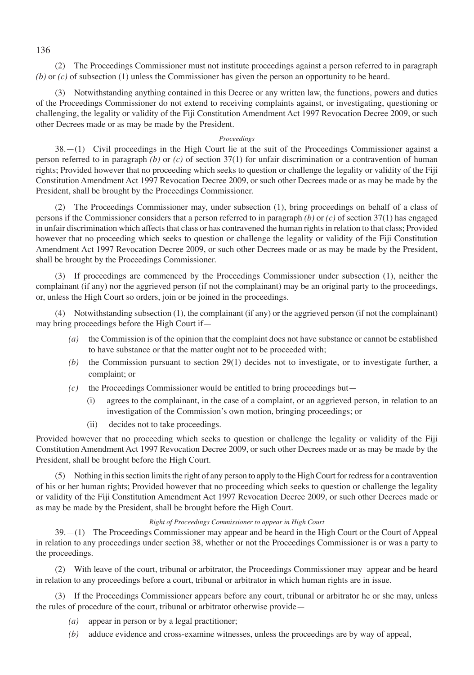136

(2) The Proceedings Commissioner must not institute proceedings against a person referred to in paragraph *(b)* or *(c)* of subsection (1) unless the Commissioner has given the person an opportunity to be heard.

(3) Notwithstanding anything contained in this Decree or any written law, the functions, powers and duties of the Proceedings Commissioner do not extend to receiving complaints against, or investigating, questioning or challenging, the legality or validity of the Fiji Constitution Amendment Act 1997 Revocation Decree 2009, or such other Decrees made or as may be made by the President.

## *Proceedings*

38.—(1) Civil proceedings in the High Court lie at the suit of the Proceedings Commissioner against a person referred to in paragraph *(b)* or *(c)* of section 37(1) for unfair discrimination or a contravention of human rights; Provided however that no proceeding which seeks to question or challenge the legality or validity of the Fiji Constitution Amendment Act 1997 Revocation Decree 2009, or such other Decrees made or as may be made by the President, shall be brought by the Proceedings Commissioner.

(2) The Proceedings Commissioner may, under subsection (1), bring proceedings on behalf of a class of persons if the Commissioner considers that a person referred to in paragraph *(b)* or *(c)* of section 37(1) has engaged in unfair discrimination which affects that class or has contravened the human rights in relation to that class; Provided however that no proceeding which seeks to question or challenge the legality or validity of the Fiji Constitution Amendment Act 1997 Revocation Decree 2009, or such other Decrees made or as may be made by the President, shall be brought by the Proceedings Commissioner.

(3) If proceedings are commenced by the Proceedings Commissioner under subsection (1), neither the complainant (if any) nor the aggrieved person (if not the complainant) may be an original party to the proceedings, or, unless the High Court so orders, join or be joined in the proceedings.

(4) Notwithstanding subsection (1), the complainant (if any) or the aggrieved person (if not the complainant) may bring proceedings before the High Court if—

- *(a)* the Commission is of the opinion that the complaint does not have substance or cannot be established to have substance or that the matter ought not to be proceeded with;
- *(b)* the Commission pursuant to section 29(1) decides not to investigate, or to investigate further, a complaint; or
- *(c)* the Proceedings Commissioner would be entitled to bring proceedings but—
	- (i) agrees to the complainant, in the case of a complaint, or an aggrieved person, in relation to an investigation of the Commission's own motion, bringing proceedings; or
	- (ii) decides not to take proceedings.

Provided however that no proceeding which seeks to question or challenge the legality or validity of the Fiji Constitution Amendment Act 1997 Revocation Decree 2009, or such other Decrees made or as may be made by the President, shall be brought before the High Court.

(5) Nothing in this section limits the right of any person to apply to the High Court for redress for a contravention of his or her human rights; Provided however that no proceeding which seeks to question or challenge the legality or validity of the Fiji Constitution Amendment Act 1997 Revocation Decree 2009, or such other Decrees made or as may be made by the President, shall be brought before the High Court.

# *Right of Proceedings Commissioner to appear in High Court*

39.—(1) The Proceedings Commissioner may appear and be heard in the High Court or the Court of Appeal in relation to any proceedings under section 38, whether or not the Proceedings Commissioner is or was a party to the proceedings.

(2) With leave of the court, tribunal or arbitrator, the Proceedings Commissioner may appear and be heard in relation to any proceedings before a court, tribunal or arbitrator in which human rights are in issue.

(3) If the Proceedings Commissioner appears before any court, tribunal or arbitrator he or she may, unless the rules of procedure of the court, tribunal or arbitrator otherwise provide—

- *(a)* appear in person or by a legal practitioner;
- *(b)* adduce evidence and cross-examine witnesses, unless the proceedings are by way of appeal,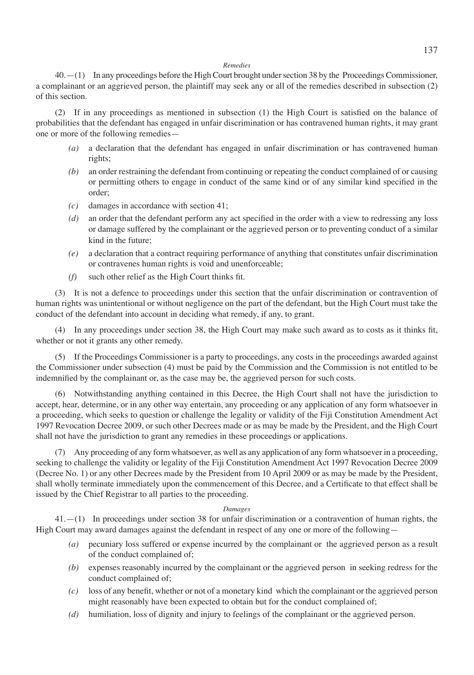#### *Remedies*

40.—(1) In any proceedings before the High Court brought under section 38 by the Proceedings Commissioner, a complainant or an aggrieved person, the plaintiff may seek any or all of the remedies described in subsection (2) of this section.

(2) If in any proceedings as mentioned in subsection (1) the High Court is satisfied on the balance of probabilities that the defendant has engaged in unfair discrimination or has contravened human rights, it may grant one or more of the following remedies—

- *(a)* a declaration that the defendant has engaged in unfair discrimination or has contravened human rights;
- *(b)* an order restraining the defendant from continuing or repeating the conduct complained of or causing or permitting others to engage in conduct of the same kind or of any similar kind specified in the order;
- *(c)* damages in accordance with section 41;
- *(d)* an order that the defendant perform any act specified in the order with a view to redressing any loss or damage suffered by the complainant or the aggrieved person or to preventing conduct of a similar kind in the future;
- *(e)* a declaration that a contract requiring performance of anything that constitutes unfair discrimination or contravenes human rights is void and unenforceable;
- *(f)* such other relief as the High Court thinks fit.

(3) It is not a defence to proceedings under this section that the unfair discrimination or contravention of human rights was unintentional or without negligence on the part of the defendant, but the High Court must take the conduct of the defendant into account in deciding what remedy, if any, to grant.

(4) In any proceedings under section 38, the High Court may make such award as to costs as it thinks fit, whether or not it grants any other remedy.

(5) If the Proceedings Commissioner is a party to proceedings, any costs in the proceedings awarded against the Commissioner under subsection (4) must be paid by the Commission and the Commission is not entitled to be indemnified by the complainant or, as the case may be, the aggrieved person for such costs.

(6) Notwithstanding anything contained in this Decree, the High Court shall not have the jurisdiction to accept, hear, determine, or in any other way entertain, any proceeding or any application of any form whatsoever in a proceeding, which seeks to question or challenge the legality or validity of the Fiji Constitution Amendment Act 1997 Revocation Decree 2009, or such other Decrees made or as may be made by the President, and the High Court shall not have the jurisdiction to grant any remedies in these proceedings or applications.

(7) Any proceeding of any form whatsoever, as well as any application of any form whatsoever in a proceeding, seeking to challenge the validity or legality of the Fiji Constitution Amendment Act 1997 Revocation Decree 2009 (Decree No. 1) or any other Decrees made by the President from 10 April 2009 or as may be made by the President, shall wholly terminate immediately upon the commencement of this Decree, and a Certificate to that effect shall be issued by the Chief Registrar to all parties to the proceeding.

#### *Damages*

41.—(1) In proceedings under section 38 for unfair discrimination or a contravention of human rights, the High Court may award damages against the defendant in respect of any one or more of the following—

- *(a)* pecuniary loss suffered or expense incurred by the complainant or the aggrieved person as a result of the conduct complained of;
- *(b)* expenses reasonably incurred by the complainant or the aggrieved person in seeking redress for the conduct complained of;
- *(c)* loss of any benefit, whether or not of a monetary kind which the complainant or the aggrieved person might reasonably have been expected to obtain but for the conduct complained of;
- *(d)* humiliation, loss of dignity and injury to feelings of the complainant or the aggrieved person.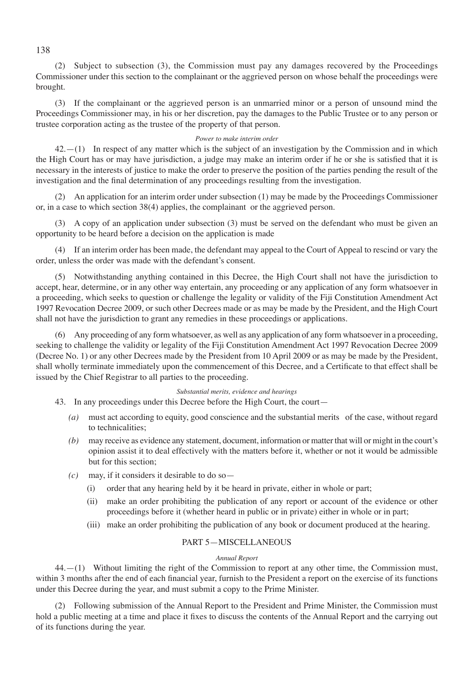(2) Subject to subsection (3), the Commission must pay any damages recovered by the Proceedings Commissioner under this section to the complainant or the aggrieved person on whose behalf the proceedings were brought.

(3) If the complainant or the aggrieved person is an unmarried minor or a person of unsound mind the Proceedings Commissioner may, in his or her discretion, pay the damages to the Public Trustee or to any person or trustee corporation acting as the trustee of the property of that person.

## *Power to make interim order*

42.—(1) In respect of any matter which is the subject of an investigation by the Commission and in which the High Court has or may have jurisdiction, a judge may make an interim order if he or she is satisfied that it is necessary in the interests of justice to make the order to preserve the position of the parties pending the result of the investigation and the final determination of any proceedings resulting from the investigation.

(2) An application for an interim order under subsection (1) may be made by the Proceedings Commissioner or, in a case to which section 38(4) applies, the complainant or the aggrieved person.

(3) A copy of an application under subsection (3) must be served on the defendant who must be given an opportunity to be heard before a decision on the application is made

(4) If an interim order has been made, the defendant may appeal to the Court of Appeal to rescind or vary the order, unless the order was made with the defendant's consent.

(5) Notwithstanding anything contained in this Decree, the High Court shall not have the jurisdiction to accept, hear, determine, or in any other way entertain, any proceeding or any application of any form whatsoever in a proceeding, which seeks to question or challenge the legality or validity of the Fiji Constitution Amendment Act 1997 Revocation Decree 2009, or such other Decrees made or as may be made by the President, and the High Court shall not have the jurisdiction to grant any remedies in these proceedings or applications.

(6) Any proceeding of any form whatsoever, as well as any application of any form whatsoever in a proceeding, seeking to challenge the validity or legality of the Fiji Constitution Amendment Act 1997 Revocation Decree 2009 (Decree No. 1) or any other Decrees made by the President from 10 April 2009 or as may be made by the President, shall wholly terminate immediately upon the commencement of this Decree, and a Certificate to that effect shall be issued by the Chief Registrar to all parties to the proceeding.

# *Substantial merits, evidence and hearings*

43. In any proceedings under this Decree before the High Court, the court—

- *(a)* must act according to equity, good conscience and the substantial merits of the case, without regard to technicalities;
- *(b)* may receive as evidence any statement, document, information or matter that will or might in the court's opinion assist it to deal effectively with the matters before it, whether or not it would be admissible but for this section;
- *(c)* may, if it considers it desirable to do so—
	- (i) order that any hearing held by it be heard in private, either in whole or part;
	- (ii) make an order prohibiting the publication of any report or account of the evidence or other proceedings before it (whether heard in public or in private) either in whole or in part;
	- (iii) make an order prohibiting the publication of any book or document produced at the hearing.

# PART 5—MISCELLANEOUS

#### *Annual Report*

44.—(1) Without limiting the right of the Commission to report at any other time, the Commission must, within 3 months after the end of each financial year, furnish to the President a report on the exercise of its functions under this Decree during the year, and must submit a copy to the Prime Minister.

(2) Following submission of the Annual Report to the President and Prime Minister, the Commission must hold a public meeting at a time and place it fixes to discuss the contents of the Annual Report and the carrying out of its functions during the year.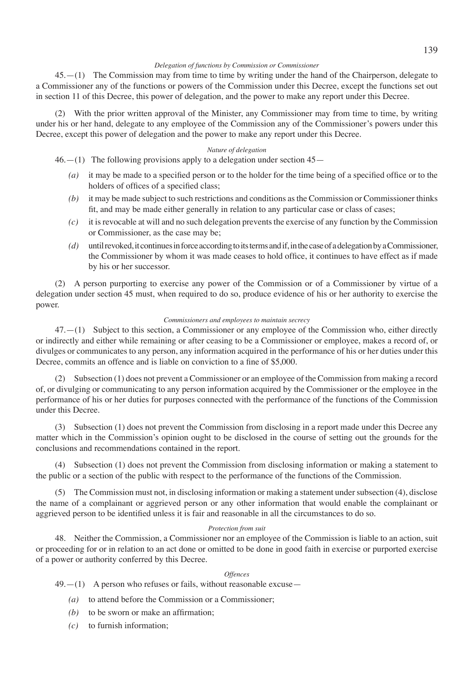# 139

#### *Delegation of functions by Commission or Commissioner*

45.—(1) The Commission may from time to time by writing under the hand of the Chairperson, delegate to a Commissioner any of the functions or powers of the Commission under this Decree, except the functions set out in section 11 of this Decree, this power of delegation, and the power to make any report under this Decree.

(2) With the prior written approval of the Minister, any Commissioner may from time to time, by writing under his or her hand, delegate to any employee of the Commission any of the Commissioner's powers under this Decree, except this power of delegation and the power to make any report under this Decree.

#### *Nature of delegation*

 $46.$  -(1) The following provisions apply to a delegation under section  $45-$ 

- *(a)* it may be made to a specified person or to the holder for the time being of a specified office or to the holders of offices of a specified class;
- *(b)* it may be made subject to such restrictions and conditions as the Commission or Commissioner thinks fit, and may be made either generally in relation to any particular case or class of cases;
- *(c)* it is revocable at will and no such delegation prevents the exercise of any function by the Commission or Commissioner, as the case may be;
- *(d)* until revoked, it continues in force according to its terms and if, in the case of a delegation by a Commissioner, the Commissioner by whom it was made ceases to hold office, it continues to have effect as if made by his or her successor.

(2) A person purporting to exercise any power of the Commission or of a Commissioner by virtue of a delegation under section 45 must, when required to do so, produce evidence of his or her authority to exercise the power.

#### *Commissioners and employees to maintain secrecy*

47.—(1) Subject to this section, a Commissioner or any employee of the Commission who, either directly or indirectly and either while remaining or after ceasing to be a Commissioner or employee, makes a record of, or divulges or communicates to any person, any information acquired in the performance of his or her duties under this Decree, commits an offence and is liable on conviction to a fine of \$5,000.

(2) Subsection (1) does not prevent a Commissioner or an employee of the Commission from making a record of, or divulging or communicating to any person information acquired by the Commissioner or the employee in the performance of his or her duties for purposes connected with the performance of the functions of the Commission under this Decree.

(3) Subsection (1) does not prevent the Commission from disclosing in a report made under this Decree any matter which in the Commission's opinion ought to be disclosed in the course of setting out the grounds for the conclusions and recommendations contained in the report.

Subsection (1) does not prevent the Commission from disclosing information or making a statement to the public or a section of the public with respect to the performance of the functions of the Commission.

(5) The Commission must not, in disclosing information or making a statement under subsection (4), disclose the name of a complainant or aggrieved person or any other information that would enable the complainant or aggrieved person to be identified unless it is fair and reasonable in all the circumstances to do so.

#### *Protection from suit*

48. Neither the Commission, a Commissioner nor an employee of the Commission is liable to an action, suit or proceeding for or in relation to an act done or omitted to be done in good faith in exercise or purported exercise of a power or authority conferred by this Decree.

#### *Offences*

 $49$ .—(1) A person who refuses or fails, without reasonable excuse—

- *(a)* to attend before the Commission or a Commissioner;
- *(b)* to be sworn or make an affirmation;
- *(c)* to furnish information;